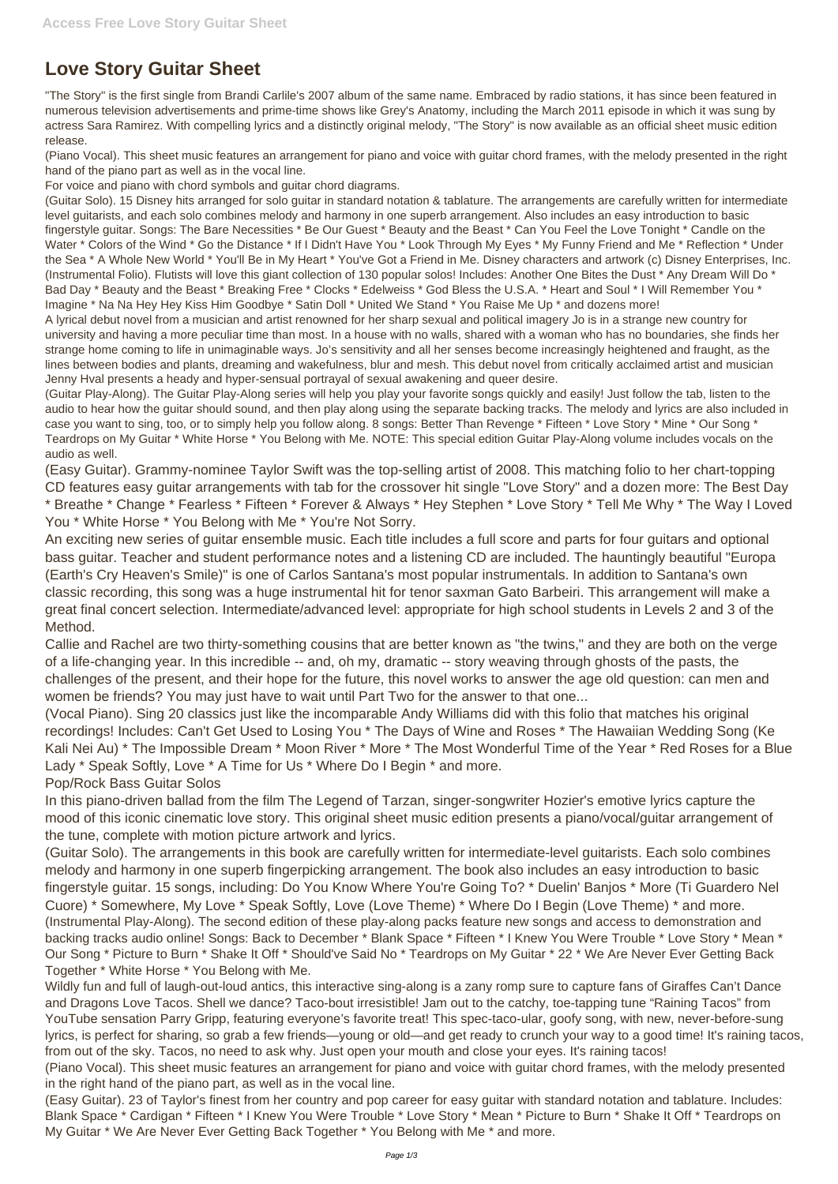## **Love Story Guitar Sheet**

"The Story" is the first single from Brandi Carlile's 2007 album of the same name. Embraced by radio stations, it has since been featured in numerous television advertisements and prime-time shows like Grey's Anatomy, including the March 2011 episode in which it was sung by actress Sara Ramirez. With compelling lyrics and a distinctly original melody, "The Story" is now available as an official sheet music edition release.

(Piano Vocal). This sheet music features an arrangement for piano and voice with guitar chord frames, with the melody presented in the right hand of the piano part as well as in the vocal line.

For voice and piano with chord symbols and guitar chord diagrams.

(Guitar Solo). 15 Disney hits arranged for solo guitar in standard notation & tablature. The arrangements are carefully written for intermediate level guitarists, and each solo combines melody and harmony in one superb arrangement. Also includes an easy introduction to basic fingerstyle guitar. Songs: The Bare Necessities \* Be Our Guest \* Beauty and the Beast \* Can You Feel the Love Tonight \* Candle on the Water \* Colors of the Wind \* Go the Distance \* If I Didn't Have You \* Look Through My Eyes \* My Funny Friend and Me \* Reflection \* Under the Sea \* A Whole New World \* You'll Be in My Heart \* You've Got a Friend in Me. Disney characters and artwork (c) Disney Enterprises, Inc. (Instrumental Folio). Flutists will love this giant collection of 130 popular solos! Includes: Another One Bites the Dust \* Any Dream Will Do \* Bad Day \* Beauty and the Beast \* Breaking Free \* Clocks \* Edelweiss \* God Bless the U.S.A. \* Heart and Soul \* I Will Remember You \* Imagine \* Na Na Hey Hey Kiss Him Goodbye \* Satin Doll \* United We Stand \* You Raise Me Up \* and dozens more!

A lyrical debut novel from a musician and artist renowned for her sharp sexual and political imagery Jo is in a strange new country for university and having a more peculiar time than most. In a house with no walls, shared with a woman who has no boundaries, she finds her strange home coming to life in unimaginable ways. Jo's sensitivity and all her senses become increasingly heightened and fraught, as the lines between bodies and plants, dreaming and wakefulness, blur and mesh. This debut novel from critically acclaimed artist and musician Jenny Hval presents a heady and hyper-sensual portrayal of sexual awakening and queer desire.

(Guitar Play-Along). The Guitar Play-Along series will help you play your favorite songs quickly and easily! Just follow the tab, listen to the audio to hear how the guitar should sound, and then play along using the separate backing tracks. The melody and lyrics are also included in case you want to sing, too, or to simply help you follow along. 8 songs: Better Than Revenge \* Fifteen \* Love Story \* Mine \* Our Song \* Teardrops on My Guitar \* White Horse \* You Belong with Me. NOTE: This special edition Guitar Play-Along volume includes vocals on the audio as well.

(Easy Guitar). Grammy-nominee Taylor Swift was the top-selling artist of 2008. This matching folio to her chart-topping CD features easy guitar arrangements with tab for the crossover hit single "Love Story" and a dozen more: The Best Day \* Breathe \* Change \* Fearless \* Fifteen \* Forever & Always \* Hey Stephen \* Love Story \* Tell Me Why \* The Way I Loved You \* White Horse \* You Belong with Me \* You're Not Sorry.

An exciting new series of guitar ensemble music. Each title includes a full score and parts for four guitars and optional bass guitar. Teacher and student performance notes and a listening CD are included. The hauntingly beautiful "Europa (Earth's Cry Heaven's Smile)" is one of Carlos Santana's most popular instrumentals. In addition to Santana's own classic recording, this song was a huge instrumental hit for tenor saxman Gato Barbeiri. This arrangement will make a great final concert selection. Intermediate/advanced level: appropriate for high school students in Levels 2 and 3 of the Method.

Callie and Rachel are two thirty-something cousins that are better known as "the twins," and they are both on the verge of a life-changing year. In this incredible -- and, oh my, dramatic -- story weaving through ghosts of the pasts, the challenges of the present, and their hope for the future, this novel works to answer the age old question: can men and women be friends? You may just have to wait until Part Two for the answer to that one...

(Vocal Piano). Sing 20 classics just like the incomparable Andy Williams did with this folio that matches his original recordings! Includes: Can't Get Used to Losing You \* The Days of Wine and Roses \* The Hawaiian Wedding Song (Ke Kali Nei Au) \* The Impossible Dream \* Moon River \* More \* The Most Wonderful Time of the Year \* Red Roses for a Blue Lady \* Speak Softly, Love \* A Time for Us \* Where Do I Begin \* and more.

## Pop/Rock Bass Guitar Solos

In this piano-driven ballad from the film The Legend of Tarzan, singer-songwriter Hozier's emotive lyrics capture the mood of this iconic cinematic love story. This original sheet music edition presents a piano/vocal/guitar arrangement of the tune, complete with motion picture artwork and lyrics.

(Guitar Solo). The arrangements in this book are carefully written for intermediate-level guitarists. Each solo combines melody and harmony in one superb fingerpicking arrangement. The book also includes an easy introduction to basic fingerstyle guitar. 15 songs, including: Do You Know Where You're Going To? \* Duelin' Banjos \* More (Ti Guardero Nel Cuore) \* Somewhere, My Love \* Speak Softly, Love (Love Theme) \* Where Do I Begin (Love Theme) \* and more. (Instrumental Play-Along). The second edition of these play-along packs feature new songs and access to demonstration and backing tracks audio online! Songs: Back to December \* Blank Space \* Fifteen \* I Knew You Were Trouble \* Love Story \* Mean \* Our Song \* Picture to Burn \* Shake It Off \* Should've Said No \* Teardrops on My Guitar \* 22 \* We Are Never Ever Getting Back Together \* White Horse \* You Belong with Me. Wildly fun and full of laugh-out-loud antics, this interactive sing-along is a zany romp sure to capture fans of Giraffes Can't Dance and Dragons Love Tacos. Shell we dance? Taco-bout irresistible! Jam out to the catchy, toe-tapping tune "Raining Tacos" from YouTube sensation Parry Gripp, featuring everyone's favorite treat! This spec-taco-ular, goofy song, with new, never-before-sung lyrics, is perfect for sharing, so grab a few friends—young or old—and get ready to crunch your way to a good time! It's raining tacos, from out of the sky. Tacos, no need to ask why. Just open your mouth and close your eyes. It's raining tacos! (Piano Vocal). This sheet music features an arrangement for piano and voice with guitar chord frames, with the melody presented in the right hand of the piano part, as well as in the vocal line. (Easy Guitar). 23 of Taylor's finest from her country and pop career for easy guitar with standard notation and tablature. Includes: Blank Space \* Cardigan \* Fifteen \* I Knew You Were Trouble \* Love Story \* Mean \* Picture to Burn \* Shake It Off \* Teardrops on My Guitar \* We Are Never Ever Getting Back Together \* You Belong with Me \* and more.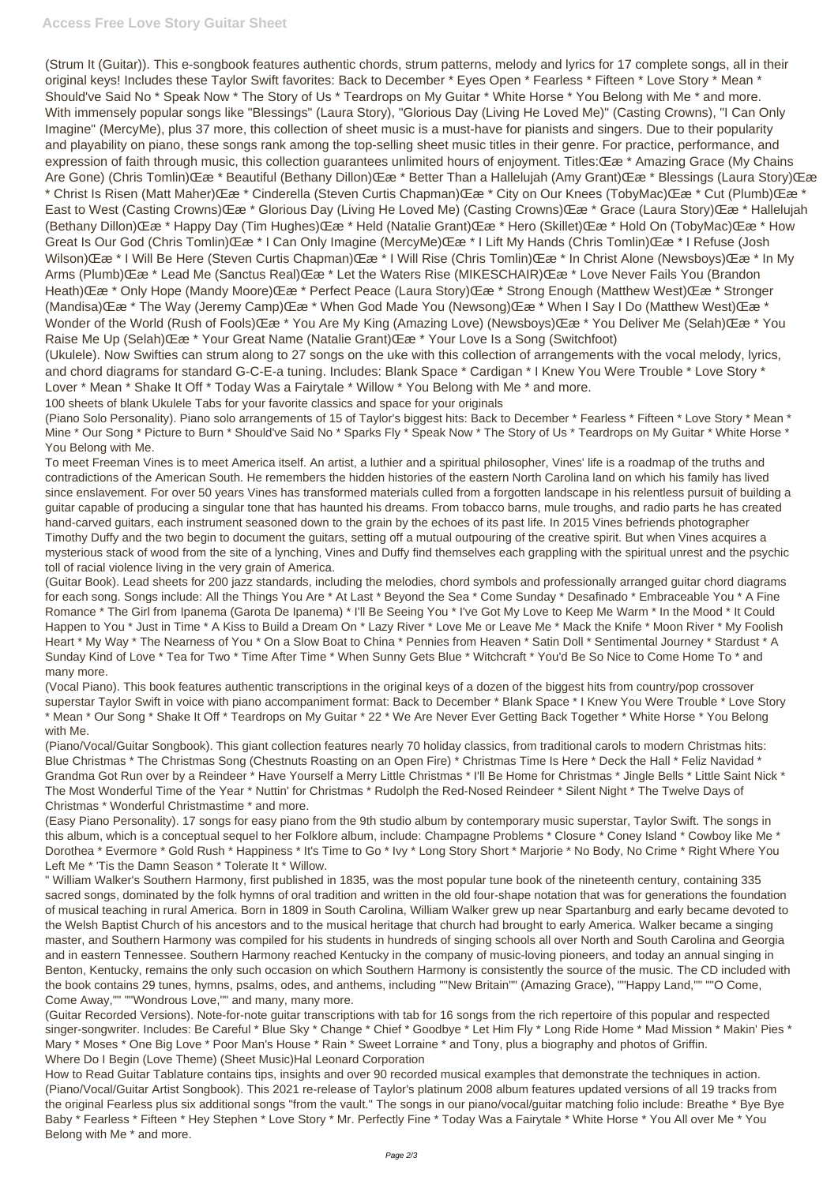(Strum It (Guitar)). This e-songbook features authentic chords, strum patterns, melody and lyrics for 17 complete songs, all in their original keys! Includes these Taylor Swift favorites: Back to December \* Eyes Open \* Fearless \* Fifteen \* Love Story \* Mean \* Should've Said No \* Speak Now \* The Story of Us \* Teardrops on My Guitar \* White Horse \* You Belong with Me \* and more. With immensely popular songs like "Blessings" (Laura Story), "Glorious Day (Living He Loved Me)" (Casting Crowns), "I Can Only Imagine" (MercyMe), plus 37 more, this collection of sheet music is a must-have for pianists and singers. Due to their popularity and playability on piano, these songs rank among the top-selling sheet music titles in their genre. For practice, performance, and expression of faith through music, this collection guarantees unlimited hours of enjoyment. Titles: Œ \* Amazing Grace (My Chains Are Gone) (Chris Tomlin) CE a \* Beautiful (Bethany Dillon) CE a \* Better Than a Hallelujah (Amy Grant) CE a \* Blessings (Laura Story) CE as \* Christ Is Risen (Matt Maher) Œ \* Cinderella (Steven Curtis Chapman) Œ \* City on Our Knees (TobyMac) Œ a \* Cut (Plumb) Œ a \* East to West (Casting Crowns) Œ \* Glorious Day (Living He Loved Me) (Casting Crowns) Œ \* Grace (Laura Story) Œ \* Hallelujah (Bethany Dillon)) (Ε ε \* Happy Day (Tim Hughes) (Ε ε \* Held (Natalie Grant) (Ε ε \* Hero (Skillet) (Ε ε \* Hold On (TobyMac) (Ε ε \* How Great Is Our God (Chris Tomlin) Œ \* I Can Only Imagine (MercyMe) Œ a \* I Lift My Hands (Chris Tomlin) Œ a \* I Refuse (Josh Wilson) Œ a \* I Will Be Here (Steven Curtis Chapman) Œ a \* I Will Rise (Chris Tomlin) Œ a \* In Christ Alone (Newsboys) Œ a \* In My Arms (Plumb) Œ \* Lead Me (Sanctus Real) Œ \* Let the Waters Rise (MIKESCHAIR) Œ \* Love Never Fails You (Brandon Heath) **C** a \* Only Hope (Mandy Moore) C a \* Perfect Peace (Laura Story) C a \* Strong Enough (Matthew West) C a \* Stronger (Mandisa) Œ <sup>\*</sup> The Way (Jeremy Camp) Œ <sup>\*</sup> When God Made You (Newsong) Œ <sup>\*</sup> When I Say I Do (Matthew West) Œ <sup>\*</sup> Wonder of the World (Rush of Fools) CE  $x$  \* You Are My King (Amazing Love) (Newsboys) CE  $x$  \* You Deliver Me (Selah) CE  $x$  \* You Raise Me Up (Selah) **E**  $\mathcal{E}$  \* Your Great Name (Natalie Grant) **E**  $\mathcal{E}$  \* Your Love Is a Song (Switchfoot)

(Ukulele). Now Swifties can strum along to 27 songs on the uke with this collection of arrangements with the vocal melody, lyrics, and chord diagrams for standard G-C-E-a tuning. Includes: Blank Space \* Cardigan \* I Knew You Were Trouble \* Love Story \* Lover \* Mean \* Shake It Off \* Today Was a Fairytale \* Willow \* You Belong with Me \* and more.

100 sheets of blank Ukulele Tabs for your favorite classics and space for your originals

(Piano Solo Personality). Piano solo arrangements of 15 of Taylor's biggest hits: Back to December \* Fearless \* Fifteen \* Love Story \* Mean \* Mine \* Our Song \* Picture to Burn \* Should've Said No \* Sparks Fly \* Speak Now \* The Story of Us \* Teardrops on My Guitar \* White Horse \* You Belong with Me.

To meet Freeman Vines is to meet America itself. An artist, a luthier and a spiritual philosopher, Vines' life is a roadmap of the truths and contradictions of the American South. He remembers the hidden histories of the eastern North Carolina land on which his family has lived since enslavement. For over 50 years Vines has transformed materials culled from a forgotten landscape in his relentless pursuit of building a guitar capable of producing a singular tone that has haunted his dreams. From tobacco barns, mule troughs, and radio parts he has created hand-carved guitars, each instrument seasoned down to the grain by the echoes of its past life. In 2015 Vines befriends photographer Timothy Duffy and the two begin to document the guitars, setting off a mutual outpouring of the creative spirit. But when Vines acquires a mysterious stack of wood from the site of a lynching, Vines and Duffy find themselves each grappling with the spiritual unrest and the psychic toll of racial violence living in the very grain of America.

(Guitar Book). Lead sheets for 200 jazz standards, including the melodies, chord symbols and professionally arranged guitar chord diagrams for each song. Songs include: All the Things You Are \* At Last \* Beyond the Sea \* Come Sunday \* Desafinado \* Embraceable You \* A Fine Romance \* The Girl from Ipanema (Garota De Ipanema) \* I'll Be Seeing You \* I've Got My Love to Keep Me Warm \* In the Mood \* It Could Happen to You \* Just in Time \* A Kiss to Build a Dream On \* Lazy River \* Love Me or Leave Me \* Mack the Knife \* Moon River \* My Foolish Heart \* My Way \* The Nearness of You \* On a Slow Boat to China \* Pennies from Heaven \* Satin Doll \* Sentimental Journey \* Stardust \* A Sunday Kind of Love \* Tea for Two \* Time After Time \* When Sunny Gets Blue \* Witchcraft \* You'd Be So Nice to Come Home To \* and many more.

(Vocal Piano). This book features authentic transcriptions in the original keys of a dozen of the biggest hits from country/pop crossover superstar Taylor Swift in voice with piano accompaniment format: Back to December \* Blank Space \* I Knew You Were Trouble \* Love Story \* Mean \* Our Song \* Shake It Off \* Teardrops on My Guitar \* 22 \* We Are Never Ever Getting Back Together \* White Horse \* You Belong with Me.

(Piano/Vocal/Guitar Songbook). This giant collection features nearly 70 holiday classics, from traditional carols to modern Christmas hits: Blue Christmas \* The Christmas Song (Chestnuts Roasting on an Open Fire) \* Christmas Time Is Here \* Deck the Hall \* Feliz Navidad \* Grandma Got Run over by a Reindeer \* Have Yourself a Merry Little Christmas \* I'll Be Home for Christmas \* Jingle Bells \* Little Saint Nick \* The Most Wonderful Time of the Year \* Nuttin' for Christmas \* Rudolph the Red-Nosed Reindeer \* Silent Night \* The Twelve Days of Christmas \* Wonderful Christmastime \* and more.

(Easy Piano Personality). 17 songs for easy piano from the 9th studio album by contemporary music superstar, Taylor Swift. The songs in this album, which is a conceptual sequel to her Folklore album, include: Champagne Problems \* Closure \* Coney Island \* Cowboy like Me \* Dorothea \* Evermore \* Gold Rush \* Happiness \* It's Time to Go \* Ivy \* Long Story Short \* Marjorie \* No Body, No Crime \* Right Where You Left Me \* 'Tis the Damn Season \* Tolerate It \* Willow.

" William Walker's Southern Harmony, first published in 1835, was the most popular tune book of the nineteenth century, containing 335 sacred songs, dominated by the folk hymns of oral tradition and written in the old four-shape notation that was for generations the foundation of musical teaching in rural America. Born in 1809 in South Carolina, William Walker grew up near Spartanburg and early became devoted to the Welsh Baptist Church of his ancestors and to the musical heritage that church had brought to early America. Walker became a singing master, and Southern Harmony was compiled for his students in hundreds of singing schools all over North and South Carolina and Georgia and in eastern Tennessee. Southern Harmony reached Kentucky in the company of music-loving pioneers, and today an annual singing in Benton, Kentucky, remains the only such occasion on which Southern Harmony is consistently the source of the music. The CD included with the book contains 29 tunes, hymns, psalms, odes, and anthems, including ""New Britain"" (Amazing Grace), ""Happy Land,"" ""O Come, Come Away,"" ""Wondrous Love,"" and many, many more. (Guitar Recorded Versions). Note-for-note guitar transcriptions with tab for 16 songs from the rich repertoire of this popular and respected singer-songwriter. Includes: Be Careful \* Blue Sky \* Change \* Chief \* Goodbye \* Let Him Fly \* Long Ride Home \* Mad Mission \* Makin' Pies \* Mary \* Moses \* One Big Love \* Poor Man's House \* Rain \* Sweet Lorraine \* and Tony, plus a biography and photos of Griffin. Where Do I Begin (Love Theme) (Sheet Music)Hal Leonard Corporation How to Read Guitar Tablature contains tips, insights and over 90 recorded musical examples that demonstrate the techniques in action. (Piano/Vocal/Guitar Artist Songbook). This 2021 re-release of Taylor's platinum 2008 album features updated versions of all 19 tracks from the original Fearless plus six additional songs "from the vault." The songs in our piano/vocal/guitar matching folio include: Breathe \* Bye Bye Baby \* Fearless \* Fifteen \* Hey Stephen \* Love Story \* Mr. Perfectly Fine \* Today Was a Fairytale \* White Horse \* You All over Me \* You Belong with Me \* and more.